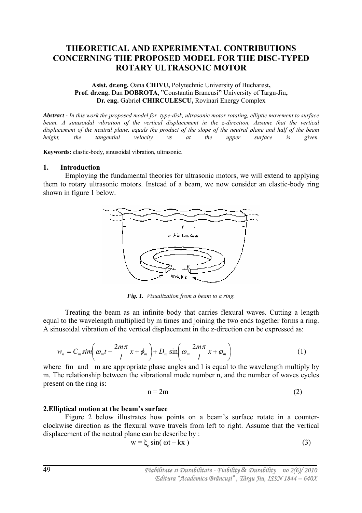# **THEORETICAL AND EXPERIMENTAL CONTRIBUTIONS CONCERNING THE PROPOSED MODEL FOR THE DISC-TYPED ROTARY ULTRASONIC MOTOR**

## **Asist. dr.eng.** Oana **CHIVU,** Polytechnic University of Bucharest**, Prof. dr.eng.** Dan **DOBROTA,** "Constantin Brancusi**"** University of Targu-Jiu**, Dr. eng.** Gabriel **CHIRCULESCU,** Rovinari Energy Complex

*Abstract - In this work the proposed model for type-disk, ultrasonic motor rotating, elliptic movement to surface beam. A sinusoidal vibration of the vertical displacement in the z-direction, Assume that the vertical displacement of the neutral plane, equals the product of the slope of the neutral plane and half of the beam height, the tangential velocity vs at the upper surface is given.* 

**Keywords:** elastic-body, sinusoidal vibration, ultrasonic.

### **1. Introduction**

Employing the fundamental theories for ultrasonic motors, we will extend to applying them to rotary ultrasonic motors. Instead of a beam, we now consider an elastic-body ring shown in figure 1 below.



*Fig. 1. Visualization from a beam to a ring.* 

Treating the beam as an infinite body that carries flexural waves. Cutting a length equal to the wavelength multiplied by m times and joining the two ends together forms a ring. A sinusoidal vibration of the vertical displacement in the z-direction can be expressed as:

$$
w_n = C_m \sin\left(\omega_m t - \frac{2m\pi}{l}x + \phi_m\right) + D_m \sin\left(\omega_m \frac{2m\pi}{l}x + \phi_m\right) \tag{1}
$$

where fm and m are appropriate phase angles and l is equal to the wavelength multiply by m. The relationship between the vibrational mode number n, and the number of waves cycles present on the ring is:

$$
n = 2m \tag{2}
$$

## **2.Elliptical motion at the beam's surface**

Figure 2 below illustrates how points on a beam's surface rotate in a counterclockwise direction as the flexural wave travels from left to right. Assume that the vertical displacement of the neutral plane can be describe by :

$$
w = \xi_0 \sin(\omega t - kx)
$$
 (3)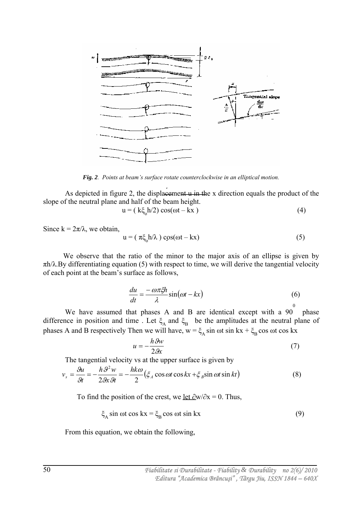

*Fig. 2. Points at beam's surface rotate counterclockwise in an elliptical motion.* 

As depicted in figure 2, the displacement  $\mu$  in the x direction equals the product of the slope of the neutral plane and half of the beam height.

$$
= (k\xi_h h/2) \cos(\omega t - kx)
$$
 (4)

Since  $k = 2\pi/\lambda$ , we obtain,

 $\mathbf u$ 

$$
u = (\pi \xi_0 h / \lambda) \cos(\omega t - kx)
$$
 (5)

 We observe that the ratio of the minor to the major axis of an ellipse is given by  $\pi h/\lambda$ . By differentiating equation (5) with respect to time, we will derive the tangential velocity of each point at the beam's surface as follows,

$$
\frac{du}{dt} = \frac{-\omega\pi\xi h}{\lambda}\sin(\omega t - kx) \tag{6}
$$

We have assumed that phases A and B are identical except with a 90 phase difference in position and time. Let  $\xi_A$  and  $\xi_B$  be the amplitudes at the neutral plane of phases A and B respectively Then we will have,  $w = \xi_A \sin \omega t \sin kx + \xi_B \cos \omega t \cos kx$ 

$$
u = -\frac{h \mathcal{G}w}{2\mathcal{G}x} \tag{7}
$$

The tangential velocity vs at the upper surface is given by

$$
v_s = \frac{\theta u}{\theta t} = -\frac{h \mathcal{L}^2 w}{2 \mathcal{R} \mathcal{R} t} = -\frac{h k \omega}{2} \left( \xi_A \cos \omega t \cos kx + \xi_B \sin \omega t \sin kt \right)
$$
(8)

To find the position of the crest, we <u>let  $\partial w / \partial x = 0$ </u>. Thus,

$$
\xi_{\rm A} \sin \omega t \cos kx = \xi_{\rm B} \cos \omega t \sin kx \tag{9}
$$

From this equation, we obtain the following,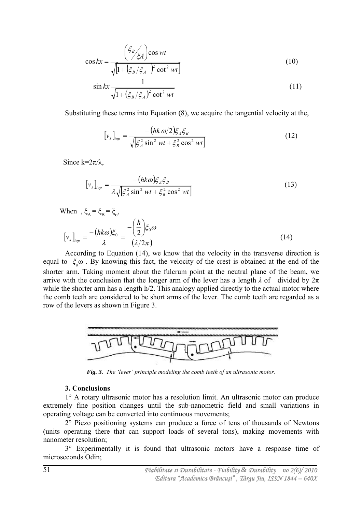$$
\cos kx = \frac{\left(\frac{\xi_B}{\xi_A}\right)\cos wt}{\sqrt{\left[1 + \left(\frac{\xi_B}{\xi_A}\right)\xi_A\right]^2 \cot^2 wt\right]}}
$$
(10)

$$
\sin kx \frac{1}{\sqrt{1 + \left(\xi_B / \xi_A\right)^2 \cot^2 wt}}
$$
\n(11)

Substituting these terms into Equation (8), we acquire the tangential velocity at the,

$$
[v_s]_{top} = \frac{-\left(hk \omega/2\right) \xi_A \xi_B}{\sqrt{\left[\xi_A^2 \sin^2 wt + \xi_B^2 \cos^2 wt\right]}}
$$
(12)

Since  $k=2π/λ$ ,

$$
\left[v_s\right]_{top} = \frac{-\left(hk\omega\right)\xi_A\xi_B}{\lambda\sqrt{\left[\xi_A^2\sin^2 wt + \xi_B^2\cos^2 wt\right]}}\tag{13}
$$

When 
$$
\xi_{A} = \xi_{B} = \xi_{o},
$$

$$
[v_{s}]_{top} = \frac{-(hk\omega)\xi_{o}}{\lambda} = \frac{-\left(\frac{h}{2}\right)\xi_{o}\omega}{(\lambda/2\pi)}
$$
(14)

According to Equation (14), we know that the velocity in the transverse direction is equal to *ξ<sup>o</sup>* ω . By knowing this fact, the velocity of the crest is obtained at the end of the shorter arm. Taking moment about the fulcrum point at the neutral plane of the beam, we arrive with the conclusion that the longer arm of the lever has a length  $\lambda$  of divided by  $2\pi$ while the shorter arm has a length h/2. This analogy applied directly to the actual motor where the comb teeth are considered to be short arms of the lever. The comb teeth are regarded as a row of the levers as shown in Figure 3.



*Fig. 3. The 'lever' principle modeling the comb teeth of an ultrasonic motor.* 

#### **3. Conclusions**

1° A rotary ultrasonic motor has a resolution limit. An ultrasonic motor can produce extremely fine position changes until the sub-nanometric field and small variations in operating voltage can be converted into continuous movements;

2° Piezo positioning systems can produce a force of tens of thousands of Newtons (units operating there that can support loads of several tons), making movements with nanometer resolution;

3° Experimentally it is found that ultrasonic motors have a response time of microseconds Odin;